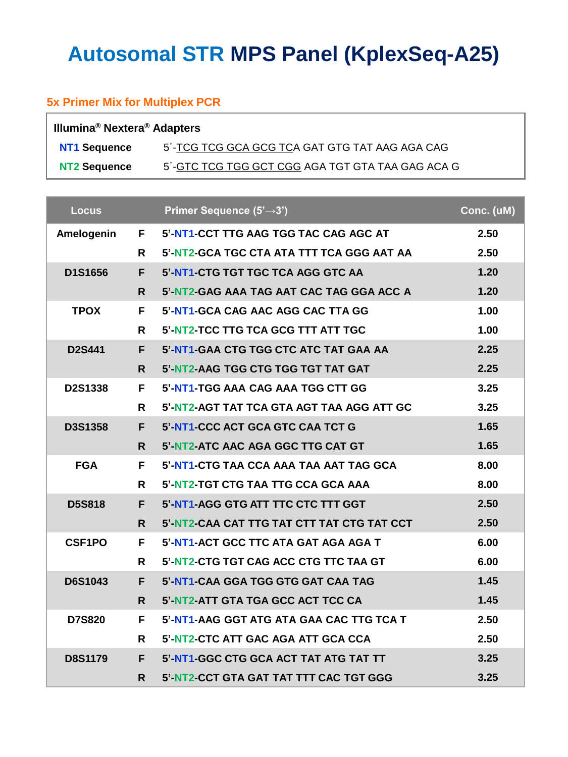# **Autosomal STR MPS Panel (KplexSeq-A25)**

### **5x Primer Mix for Multiplex PCR**

| Illumina <sup>®</sup> Nextera <sup>®</sup> Adapters |                                                  |  |  |  |
|-----------------------------------------------------|--------------------------------------------------|--|--|--|
| <b>NT1 Sequence</b>                                 | 5'-TCG TCG GCA GCG TCA GAT GTG TAT AAG AGA CAG   |  |  |  |
| NT2 Sequence                                        | 5'-GTC TCG TGG GCT CGG AGA TGT GTA TAA GAG ACA G |  |  |  |

| <b>Locus</b>        |    | Primer Sequence $(5' \rightarrow 3')$              | Conc. (uM) |
|---------------------|----|----------------------------------------------------|------------|
|                     |    | Amelogenin F 5'-NT1-CCT TTG AAG TGG TAC CAG AGC AT | 2.50       |
|                     | R  | 5'-NT2-GCA TGC CTA ATA TTT TCA GGG AAT AA          | 2.50       |
| D1S1656             | F. | 5'-NT1-CTG TGT TGC TCA AGG GTC AA                  | 1.20       |
|                     | R. | 5'-NT2-GAG AAA TAG AAT CAC TAG GGA ACC A           | 1.20       |
| <b>TPOX</b>         | F. | 5'-NT1-GCA CAG AAC AGG CAC TTA GG                  | 1.00       |
|                     | R  | 5'-NT2-TCC TTG TCA GCG TTT ATT TGC                 | 1.00       |
| <b>D2S441</b>       | F. | 5'-NT1-GAA CTG TGG CTC ATC TAT GAA AA              | 2.25       |
|                     | R. | 5'-NT2-AAG TGG CTG TGG TGT TAT GAT                 | 2.25       |
| <b>D2S1338</b>      | F. | 5'-NT1-TGG AAA CAG AAA TGG CTT GG                  | 3.25       |
|                     | R. | 5'-NT2-AGT TAT TCA GTA AGT TAA AGG ATT GC          | 3.25       |
| <b>D3S1358</b>      | F. | 5'-NT1-CCC ACT GCA GTC CAA TCT G                   | 1.65       |
|                     | R. | 5'-NT2-ATC AAC AGA GGC TTG CAT GT                  | 1.65       |
| <b>FGA</b>          | F. | 5'-NT1-CTG TAA CCA AAA TAA AAT TAG GCA             | 8.00       |
|                     | R. | 5'-NT2-TGT CTG TAA TTG CCA GCA AAA                 | 8.00       |
| <b>D5S818</b>       | F. | 5'-NT1-AGG GTG ATT TTC CTC TTT GGT                 | 2.50       |
|                     | R. | 5'-NT2-CAA CAT TTG TAT CTT TAT CTG TAT CCT         | 2.50       |
| CSF <sub>1</sub> PO | F. | 5'-NT1-ACT GCC TTC ATA GAT AGA AGA T               | 6.00       |
|                     | R. | 5'-NT2-CTG TGT CAG ACC CTG TTC TAA GT              | 6.00       |
| <b>D6S1043</b>      | F. | 5'-NT1-CAA GGA TGG GTG GAT CAA TAG                 | 1.45       |
|                     | R. | 5'-NT2-ATT GTA TGA GCC ACT TCC CA                  | 1.45       |
| <b>D7S820</b>       | F. | 5'-NT1-AAG GGT ATG ATA GAA CAC TTG TCA T           | 2.50       |
|                     | R. | 5'-NT2-CTC ATT GAC AGA ATT GCA CCA                 | 2.50       |
| <b>D8S1179</b>      | F. | 5'-NT1-GGC CTG GCA ACT TAT ATG TAT TT              | 3.25       |
|                     | R. | 5'-NT2-CCT GTA GAT TAT TTT CAC TGT GGG             | 3.25       |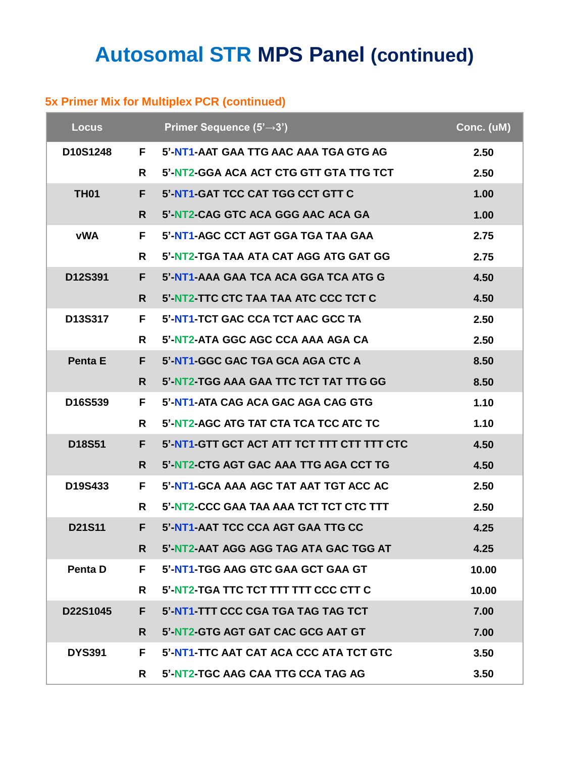### **Autosomal STR MPS Panel (continued)**

#### **5x Primer Mix for Multiplex PCR (continued)**

| <b>Locus</b>  |    | Primer Sequence $(5' \rightarrow 3')$      | Conc. (uM) |
|---------------|----|--------------------------------------------|------------|
| D10S1248      | F. | 5'-NT1-AAT GAA TTG AAC AAA TGA GTG AG      | 2.50       |
|               | R  | 5'-NT2-GGA ACA ACT CTG GTT GTA TTG TCT     | 2.50       |
| <b>TH01</b>   | F. | 5'-NT1-GAT TCC CAT TGG CCT GTT C           | 1.00       |
|               | R. | 5'-NT2-CAG GTC ACA GGG AAC ACA GA          | 1.00       |
| <b>vWA</b>    | F. | 5'-NT1-AGC CCT AGT GGA TGA TAA GAA         | 2.75       |
|               | R  | 5'-NT2-TGA TAA ATA CAT AGG ATG GAT GG      | 2.75       |
| D12S391       | F. | 5'-NT1-AAA GAA TCA ACA GGA TCA ATG G       | 4.50       |
|               | R. | 5'-NT2-TTC CTC TAA TAA ATC CCC TCT C       | 4.50       |
| D13S317       | F. | 5'-NT1-TCT GAC CCA TCT AAC GCC TA          | 2.50       |
|               | R  | 5'-NT2-ATA GGC AGC CCA AAA AGA CA          | 2.50       |
| Penta E       | F. | 5'-NT1-GGC GAC TGA GCA AGA CTC A           | 8.50       |
|               | R. | 5'-NT2-TGG AAA GAA TTC TCT TAT TTG GG      | 8.50       |
| D16S539       | F. | 5'-NT1-ATA CAG ACA GAC AGA CAG GTG         | 1.10       |
|               | R. | 5'-NT2-AGC ATG TAT CTA TCA TCC ATC TC      | 1.10       |
| D18S51        | F. | 5'-NT1-GTT GCT ACT ATT TCT TTT CTT TTT CTC | 4.50       |
|               | R. | 5'-NT2-CTG AGT GAC AAA TTG AGA CCT TG      | 4.50       |
| D19S433       | F. | 5'-NT1-GCA AAA AGC TAT AAT TGT ACC AC      | 2.50       |
|               | R  | 5'-NT2-CCC GAA TAA AAA TCT TCT CTC TTT     | 2.50       |
| D21S11        | F. | 5'-NT1-AAT TCC CCA AGT GAA TTG CC          | 4.25       |
|               | R. | 5'-NT2-AAT AGG AGG TAG ATA GAC TGG AT      | 4.25       |
| Penta D       | F. | 5'-NT1-TGG AAG GTC GAA GCT GAA GT          | 10.00      |
|               | R. | 5'-NT2-TGA TTC TCT TTT TTT CCC CTT C       | 10.00      |
| D22S1045      | F. | 5'-NT1-TTT CCC CGA TGA TAG TAG TCT         | 7.00       |
|               | R. | 5'-NT2-GTG AGT GAT CAC GCG AAT GT          | 7.00       |
| <b>DYS391</b> | F. | 5'-NT1-TTC AAT CAT ACA CCC ATA TCT GTC     | 3.50       |
|               | R  | 5'-NT2-TGC AAG CAA TTG CCA TAG AG          | 3.50       |